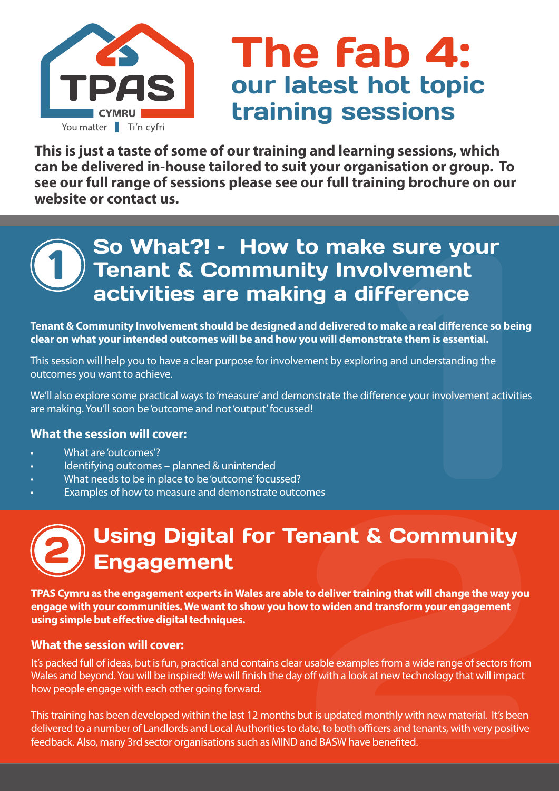

## The fab 4: our latest hot topic training sessions

**This is just a taste of some of our training and learning sessions, which can be delivered in-house tailored to suit your organisation or group. To see our full range of sessions please see our full training brochure on our website or contact us.**

## 1 **Sure your<br>
Ement<br>
Prence<br>
Expansion of the Surfam is essential.**<br>
Ind understanding the<br>
Expour involvement activities<br>
The your involvement activities<br>
The Surfam of the Surfam and Surfam and Surfam and Surfam and Surfam So What?! – How to make sure your Tenant & Community Involvement activities are making a difference

**Tenant & Community Involvement should be designed and delivered to make a real difference so being clear on what your intended outcomes will be and how you will demonstrate them is essential.**

This session will help you to have a clear purpose for involvement by exploring and understanding the outcomes you want to achieve.

We'll also explore some practical ways to 'measure' and demonstrate the difference your involvement activities are making. You'll soon be 'outcome and not 'output' focussed!

#### **What the session will cover:**

- What are 'outcomes'?
- Identifying outcomes planned & unintended
- What needs to be in place to be 'outcome' focussed?
- Examples of how to measure and demonstrate outcomes

# Using Digital for Tenant & Community Engagement 2 mes<br> **Mant & Community**<br>
to deliver training that will change the way you<br>
to widen and transform your engagement<br>
usable examples from a wide range of sectors from<br>
off with a look at new technology that will impact<br>
ut i

**TPAS Cymru as the engagement experts in Wales are able to deliver training that will change the way you engage with your communities. We want to show you how to widen and transform your engagement using simple but effective digital techniques.** 

#### **What the session will cover:**

It's packed full of ideas, but is fun, practical and contains clear usable examples from a wide range of sectors from Wales and beyond. You will be inspired! We will finish the day off with a look at new technology that will impact how people engage with each other going forward.

This training has been developed within the last 12 months but is updated monthly with new material. It's been delivered to a number of Landlords and Local Authorities to date, to both officers and tenants, with very positive feedback. Also, many 3rd sector organisations such as MIND and BASW have benefited.